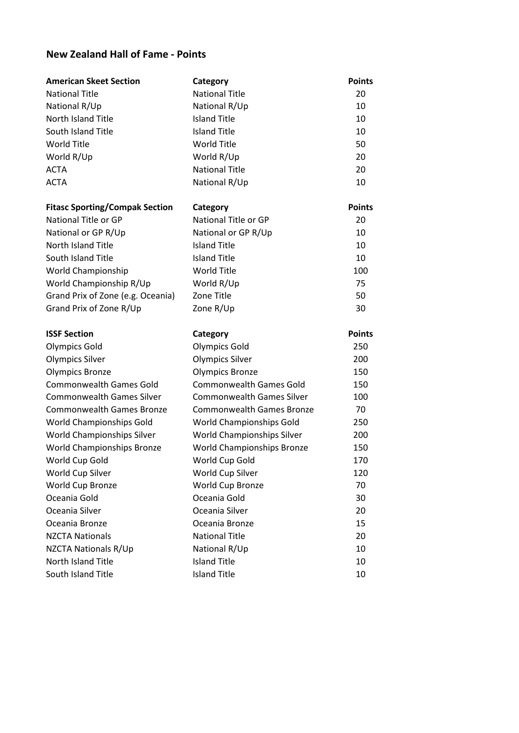## **New Zealand Hall of Fame - Points**

| <b>American Skeet Section</b>            | Category                                   | <b>Points</b> |
|------------------------------------------|--------------------------------------------|---------------|
| <b>National Title</b>                    | <b>National Title</b>                      | 20            |
| National R/Up                            | National R/Up                              | 10            |
| North Island Title                       | <b>Island Title</b>                        | 10            |
| South Island Title                       | <b>Island Title</b>                        | 10            |
| <b>World Title</b>                       | <b>World Title</b>                         | 50            |
| World R/Up                               | World R/Up                                 | 20            |
| <b>ACTA</b>                              | <b>National Title</b>                      | 20            |
| <b>ACTA</b>                              | National R/Up                              | 10            |
| <b>Fitasc Sporting/Compak Section</b>    | Category                                   | <b>Points</b> |
| National Title or GP                     | National Title or GP                       | 20            |
| National or GP R/Up                      | National or GP R/Up                        | 10            |
| North Island Title                       | <b>Island Title</b>                        | 10            |
| South Island Title                       | <b>Island Title</b>                        | 10            |
| World Championship                       | <b>World Title</b>                         | 100           |
| World Championship R/Up                  | World R/Up                                 | 75            |
| Grand Prix of Zone (e.g. Oceania)        | Zone Title                                 | 50            |
| Grand Prix of Zone R/Up                  | Zone R/Up                                  | 30            |
|                                          |                                            |               |
| <b>ISSF Section</b>                      | Category                                   | <b>Points</b> |
| <b>Olympics Gold</b>                     | <b>Olympics Gold</b>                       | 250           |
| <b>Olympics Silver</b>                   | <b>Olympics Silver</b>                     | 200           |
| <b>Olympics Bronze</b>                   | <b>Olympics Bronze</b>                     | 150           |
| <b>Commonwealth Games Gold</b>           | <b>Commonwealth Games Gold</b>             | 150           |
| <b>Commonwealth Games Silver</b>         | <b>Commonwealth Games Silver</b>           | 100           |
| <b>Commonwealth Games Bronze</b>         | <b>Commonwealth Games Bronze</b>           | 70            |
| World Championships Gold                 | World Championships Gold                   | 250           |
| World Championships Silver               | World Championships Silver                 | 200           |
| World Championships Bronze               | <b>World Championships Bronze</b>          | 150           |
| World Cup Gold                           | World Cup Gold                             | 170           |
| World Cup Silver                         | World Cup Silver                           | 120           |
| World Cup Bronze                         | World Cup Bronze                           | 70            |
| Oceania Gold                             | Oceania Gold                               | 30            |
| Oceania Silver                           | Oceania Silver                             | 20            |
| Oceania Bronze                           | Oceania Bronze                             | 15            |
| <b>NZCTA Nationals</b>                   | <b>National Title</b>                      | 20            |
| <b>NZCTA Nationals R/Up</b>              | National R/Up                              | 10            |
| North Island Title<br>South Island Title | <b>Island Title</b><br><b>Island Title</b> | 10<br>10      |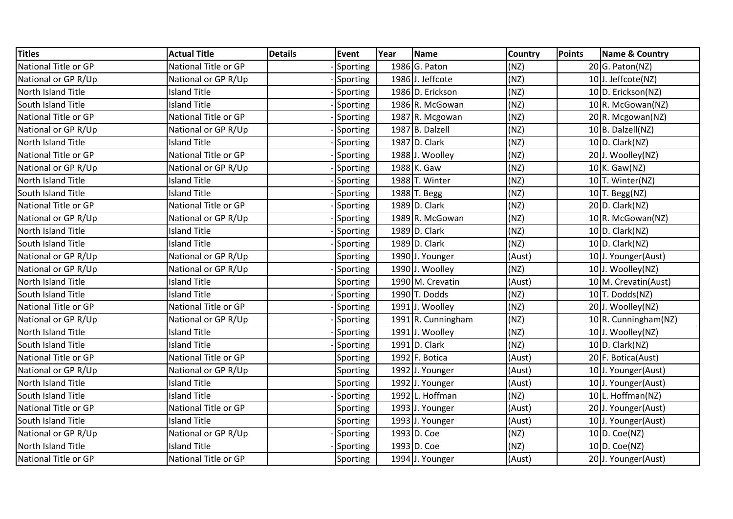| <b>Titles</b>               | <b>Actual Title</b>  | <b>Details</b> | <b>Event</b>    | Year | <b>Name</b>        | <b>Country</b> | Points | <b>Name &amp; Country</b> |
|-----------------------------|----------------------|----------------|-----------------|------|--------------------|----------------|--------|---------------------------|
| National Title or GP        | National Title or GP |                | Sporting        |      | 1986 G. Paton      | (NZ)           |        | $20 G.$ Paton(NZ)         |
| National or GP R/Up         | National or GP R/Up  |                | Sporting        |      | 1986 J. Jeffcote   | (NZ)           |        | 10J. Jeffcote(NZ)         |
| North Island Title          | <b>Island Title</b>  |                | Sporting        |      | 1986 D. Erickson   | (NZ)           |        | 10 D. Erickson(NZ)        |
| South Island Title          | <b>Island Title</b>  |                | Sporting        |      | 1986 R. McGowan    | (NZ)           |        | 10 R. McGowan(NZ)         |
| National Title or GP        | National Title or GP |                | Sporting        |      | 1987 R. Mcgowan    | (NZ)           |        | $20 \mid R$ . Mcgowan(NZ) |
| National or GP R/Up         | National or GP R/Up  |                | Sporting        |      | 1987 B. Dalzell    | (NZ)           |        | $10 B.$ Dalzell(NZ)       |
| North Island Title          | <b>Island Title</b>  |                | Sporting        |      | 1987 D. Clark      | (NZ)           |        | $10 D$ . Clark(NZ)        |
| National Title or GP        | National Title or GP |                | Sporting        |      | 1988 J. Woolley    | (NZ)           |        | 20 J. Woolley(NZ)         |
| National or GP R/Up         | National or GP R/Up  |                | Sporting        |      | 1988 K. Gaw        | (NZ)           |        | $10$ K. Gaw(NZ)           |
| North Island Title          | <b>Island Title</b>  |                | Sporting        |      | 1988 T. Winter     | (NZ)           |        | 10 T. Winter(NZ)          |
| South Island Title          | <b>Island Title</b>  |                | Sporting        |      | 1988 T. Begg       | (NZ)           |        | $10$ T. Begg(NZ)          |
| <b>National Title or GP</b> | National Title or GP |                | Sporting        |      | 1989 D. Clark      | (NZ)           |        | 20 D. Clark(NZ)           |
| National or GP R/Up         | National or GP R/Up  |                | Sporting        |      | 1989 R. McGowan    | (NZ)           |        | 10 R. McGowan(NZ)         |
| North Island Title          | <b>Island Title</b>  |                | Sporting        |      | 1989 D. Clark      | (NZ)           |        | $10 D$ . Clark(NZ)        |
| South Island Title          | <b>Island Title</b>  |                | Sporting        |      | 1989 D. Clark      | (NZ)           |        | $10 D$ . Clark(NZ)        |
| National or GP R/Up         | National or GP R/Up  |                | Sporting        |      | 1990 J. Younger    | (Aust)         |        | 10J. Younger(Aust)        |
| National or GP R/Up         | National or GP R/Up  |                | Sporting        |      | 1990 J. Woolley    | (NZ)           |        | 10J. Woolley(NZ)          |
| North Island Title          | <b>Island Title</b>  |                | Sporting        |      | 1990 M. Crevatin   | (Aust)         |        | 10 M. Crevatin(Aust)      |
| South Island Title          | <b>Island Title</b>  |                | Sporting        |      | 1990 T. Dodds      | (NZ)           |        | $10$ T. Dodds(NZ)         |
| National Title or GP        | National Title or GP |                | Sporting        |      | 1991 J. Woolley    | (NZ)           |        | 20 J. Woolley(NZ)         |
| National or GP R/Up         | National or GP R/Up  |                | Sporting        |      | 1991 R. Cunningham | (NZ)           |        | 10 R. Cunningham(NZ)      |
| North Island Title          | <b>Island Title</b>  |                | Sporting        |      | 1991 J. Woolley    | (NZ)           |        | 10J. Woolley(NZ)          |
| South Island Title          | <b>Island Title</b>  |                | <b>Sporting</b> |      | 1991 D. Clark      | (NZ)           |        | $10 D$ . Clark(NZ)        |
| National Title or GP        | National Title or GP |                | Sporting        |      | 1992 F. Botica     | (Aust)         |        | 20 F. Botica(Aust)        |
| National or GP R/Up         | National or GP R/Up  |                | Sporting        |      | 1992 J. Younger    | (Aust)         |        | 10J. Younger(Aust)        |
| North Island Title          | <b>Island Title</b>  |                | Sporting        |      | 1992 J. Younger    | (Aust)         |        | 10J. Younger(Aust)        |
| South Island Title          | <b>Island Title</b>  |                | Sporting        |      | 1992 L. Hoffman    | (NZ)           |        | 10 L. Hoffman(NZ)         |
| National Title or GP        | National Title or GP |                | Sporting        |      | 1993 J. Younger    | (Aust)         |        | 20 J. Younger(Aust)       |
| South Island Title          | <b>Island Title</b>  |                | Sporting        |      | 1993 J. Younger    | (Aust)         |        | 10J. Younger(Aust)        |
| National or GP R/Up         | National or GP R/Up  |                | Sporting        |      | 1993 D. Coe        | (NZ)           |        | $10 D$ . Coe(NZ)          |
| North Island Title          | <b>Island Title</b>  |                | Sporting        |      | 1993 D. Coe        | (NZ)           |        | $10 D$ . Coe(NZ)          |
| National Title or GP        | National Title or GP |                | Sporting        |      | 1994 J. Younger    | (Aust)         |        | 20 J. Younger(Aust)       |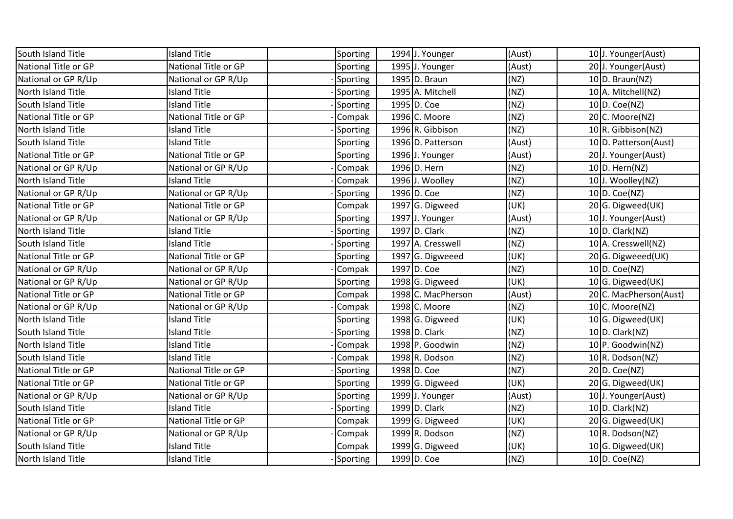| South Island Title   | <b>Island Title</b>  | Sporting | 1994 J. Younger    | (Aust) | 10J. Younger(Aust)     |
|----------------------|----------------------|----------|--------------------|--------|------------------------|
| National Title or GP | National Title or GP | Sporting | 1995 J. Younger    | (Aust) | 20 J. Younger(Aust)    |
| National or GP R/Up  | National or GP R/Up  | Sporting | 1995 D. Braun      | (NZ)   | $10 D.$ Braun(NZ)      |
| North Island Title   | <b>Island Title</b>  | Sporting | 1995 A. Mitchell   | (NZ)   | 10 A. Mitchell(NZ)     |
| South Island Title   | <b>Island Title</b>  | Sporting | 1995 D. Coe        | (NZ)   | $10 D$ . Coe(NZ)       |
| National Title or GP | National Title or GP | Compak   | 1996 C. Moore      | (NZ)   | 20 C. Moore(NZ)        |
| North Island Title   | <b>Island Title</b>  | Sporting | 1996 R. Gibbison   | (NZ)   | $10 R$ . Gibbison(NZ)  |
| South Island Title   | <b>Island Title</b>  | Sporting | 1996 D. Patterson  | (Aust) | 10 D. Patterson(Aust)  |
| National Title or GP | National Title or GP | Sporting | 1996 J. Younger    | (Aust) | 20 J. Younger(Aust)    |
| National or GP R/Up  | National or GP R/Up  | Compak   | 1996 D. Hern       | (NZ)   | 10 D. Hern(NZ)         |
| North Island Title   | <b>Island Title</b>  | Compak   | 1996 J. Woolley    | (NZ)   | 10J. Woolley(NZ)       |
| National or GP R/Up  | National or GP R/Up  | Sporting | 1996 D. Coe        | (NZ)   | $10 D$ . Coe(NZ)       |
| National Title or GP | National Title or GP | Compak   | 1997 G. Digweed    | (UK)   | 20 G. Digweed(UK)      |
| National or GP R/Up  | National or GP R/Up  | Sporting | 1997 J. Younger    | (Aust) | 10J. Younger(Aust)     |
| North Island Title   | <b>Island Title</b>  | Sporting | 1997 D. Clark      | (NZ)   | $10 D$ . Clark(NZ)     |
| South Island Title   | <b>Island Title</b>  | Sporting | 1997 A. Cresswell  | (NZ)   | 10 A. Cresswell(NZ)    |
| National Title or GP | National Title or GP | Sporting | 1997 G. Digweeed   | (UK)   | 20 G. Digweeed(UK)     |
| National or GP R/Up  | National or GP R/Up  | Compak   | 1997 D. Coe        | (NZ)   | $10 D$ . Coe(NZ)       |
| National or GP R/Up  | National or GP R/Up  | Sporting | 1998 G. Digweed    | (UK)   | 10 G. Digweed(UK)      |
| National Title or GP | National Title or GP | Compak   | 1998 C. MacPherson | (Aust) | 20 C. MacPherson(Aust) |
| National or GP R/Up  | National or GP R/Up  | Compak   | 1998 C. Moore      | (NZ)   | 10 C. Moore(NZ)        |
| North Island Title   | <b>Island Title</b>  | Sporting | 1998 G. Digweed    | (UK)   | 10 G. Digweed(UK)      |
| South Island Title   | <b>Island Title</b>  | Sporting | 1998 D. Clark      | (NZ)   | $10 D$ . Clark(NZ)     |
| North Island Title   | <b>Island Title</b>  | Compak   | 1998 P. Goodwin    | (NZ)   | 10 P. Goodwin(NZ)      |
| South Island Title   | <b>Island Title</b>  | Compak   | 1998 R. Dodson     | (NZ)   | 10 R. Dodson(NZ)       |
| National Title or GP | National Title or GP | Sporting | 1998 D. Coe        | (NZ)   | 20 D. Coe(NZ)          |
| National Title or GP | National Title or GP | Sporting | 1999 G. Digweed    | (UK)   | 20 G. Digweed(UK)      |
| National or GP R/Up  | National or GP R/Up  | Sporting | 1999 J. Younger    | (Aust) | 10 J. Younger(Aust)    |
| South Island Title   | <b>Island Title</b>  | Sporting | 1999 D. Clark      | (NZ)   | $10 D$ . Clark(NZ)     |
| National Title or GP | National Title or GP | Compak   | 1999 G. Digweed    | (UK)   | 20 G. Digweed(UK)      |
| National or GP R/Up  | National or GP R/Up  | Compak   | 1999 R. Dodson     | (NZ)   | $10 R.$ Dodson(NZ)     |
| South Island Title   | <b>Island Title</b>  | Compak   | 1999 G. Digweed    | (UK)   | 10 G. Digweed(UK)      |
| North Island Title   | <b>Island Title</b>  | Sporting | 1999 D. Coe        | (NZ)   | $10 D$ . Coe(NZ)       |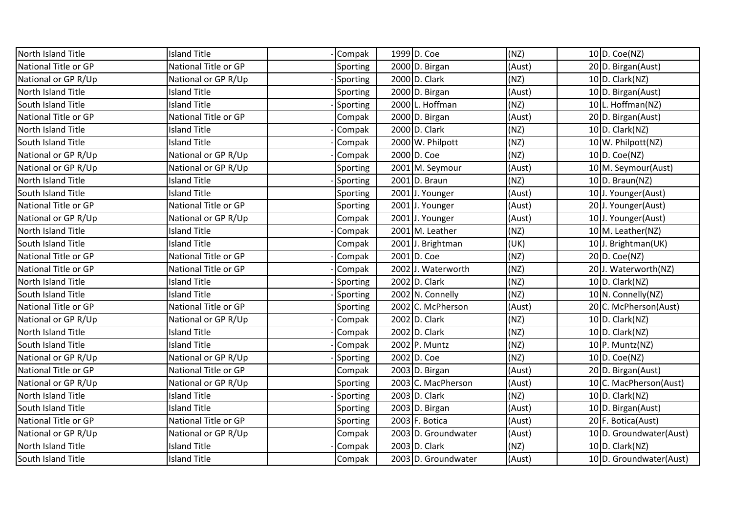| North Island Title          | <b>Island Title</b>  | Compak   | 1999 D. Coe         | (NZ)   | $10 D$ . Coe(NZ)          |
|-----------------------------|----------------------|----------|---------------------|--------|---------------------------|
| National Title or GP        | National Title or GP | Sporting | 2000 D. Birgan      | (Aust) | 20 D. Birgan(Aust)        |
| National or GP R/Up         | National or GP R/Up  | Sporting | 2000 D. Clark       | (NZ)   | 10 $D.$ Clark(NZ)         |
| North Island Title          | <b>Island Title</b>  | Sporting | 2000 D. Birgan      | (Aust) | 10 D. Birgan(Aust)        |
| South Island Title          | <b>Island Title</b>  | Sporting | 2000 L. Hoffman     | (NZ)   | 10 L. Hoffman(NZ)         |
| National Title or GP        | National Title or GP | Compak   | 2000 D. Birgan      | (Aust) | 20 D. Birgan(Aust)        |
| North Island Title          | <b>Island Title</b>  | Compak   | 2000 D. Clark       | (NZ)   | $10$ D. Clark(NZ)         |
| South Island Title          | <b>Island Title</b>  | Compak   | 2000 W. Philpott    | (NZ)   | 10 W. Philpott(NZ)        |
| National or GP R/Up         | National or GP R/Up  | Compak   | 2000 D. Coe         | (NZ)   | $10 D$ . Coe(NZ)          |
| National or GP R/Up         | National or GP R/Up  | Sporting | 2001 M. Seymour     | (Aust) | 10 M. Seymour(Aust)       |
| North Island Title          | <b>Island Title</b>  | Sporting | $2001$ D. Braun     | (NZ)   | $10 D.$ Braun(NZ)         |
| South Island Title          | <b>Island Title</b>  | Sporting | 2001 J. Younger     | (Aust) | 10J. Younger(Aust)        |
| National Title or GP        | National Title or GP | Sporting | 2001 J. Younger     | (Aust) | 20 J. Younger(Aust)       |
| National or GP R/Up         | National or GP R/Up  | Compak   | 2001 J. Younger     | (Aust) | 10 J. Younger(Aust)       |
| North Island Title          | <b>Island Title</b>  | Compak   | 2001 M. Leather     | (NZ)   | $10 \mid M$ . Leather(NZ) |
| South Island Title          | <b>Island Title</b>  | Compak   | 2001 J. Brightman   | (UK)   | 10J. Brightman(UK)        |
| <b>National Title or GP</b> | National Title or GP | Compak   | 2001 D. Coe         | (NZ)   | 20 D. Coe(NZ)             |
| National Title or GP        | National Title or GP | Compak   | 2002 J. Waterworth  | (NZ)   | 20 J. Waterworth(NZ)      |
| North Island Title          | <b>Island Title</b>  | Sporting | 2002 D. Clark       | (NZ)   | $10$ D. Clark(NZ)         |
| South Island Title          | <b>Island Title</b>  | Sporting | 2002 N. Connelly    | (NZ)   | 10 N. Connelly(NZ)        |
| <b>National Title or GP</b> | National Title or GP | Sporting | 2002 C. McPherson   | (Aust) | 20 C. McPherson(Aust)     |
| National or GP R/Up         | National or GP R/Up  | Compak   | 2002 D. Clark       | (NZ)   | $10 D$ . Clark(NZ)        |
| North Island Title          | <b>Island Title</b>  | Compak   | 2002 D. Clark       | (NZ)   | $10$ D. Clark(NZ)         |
| South Island Title          | <b>Island Title</b>  | Compak   | 2002 P. Muntz       | (NZ)   | $10 P.$ Muntz(NZ)         |
| National or GP R/Up         | National or GP R/Up  | Sporting | 2002 D. Coe         | (NZ)   | $10 D$ . Coe(NZ)          |
| National Title or GP        | National Title or GP | Compak   | $2003 D.$ Birgan    | (Aust) | 20 D. Birgan(Aust)        |
| National or GP R/Up         | National or GP R/Up  | Sporting | 2003 C. MacPherson  | (Aust) | 10 C. MacPherson(Aust)    |
| North Island Title          | <b>Island Title</b>  | Sporting | 2003 D. Clark       | (NZ)   | $10 D$ . Clark(NZ)        |
| South Island Title          | <b>Island Title</b>  | Sporting | $2003 D.$ Birgan    | (Aust) | 10 D. Birgan(Aust)        |
| <b>National Title or GP</b> | National Title or GP | Sporting | $2003$ F. Botica    | (Aust) | 20 F. Botica(Aust)        |
| National or GP R/Up         | National or GP R/Up  | Compak   | 2003 D. Groundwater | (Aust) | 10 D. Groundwater(Aust)   |
| North Island Title          | <b>Island Title</b>  | Compak   | 2003 D. Clark       | (NZ)   | $10 D$ . Clark(NZ)        |
| South Island Title          | <b>Island Title</b>  | Compak   | 2003 D. Groundwater | (Aust) | 10 D. Groundwater(Aust)   |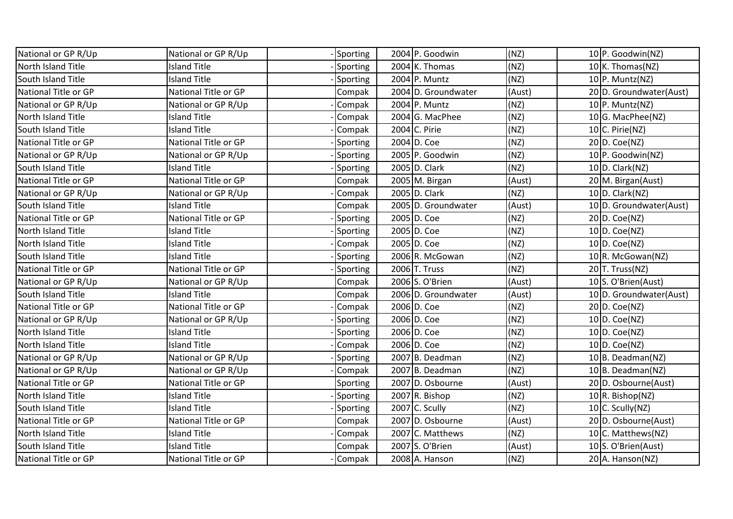| National or GP R/Up         | National or GP R/Up  | Sporting |                  | 2004 P. Goodwin     | (NZ)   | 10 P. Goodwin(NZ)       |
|-----------------------------|----------------------|----------|------------------|---------------------|--------|-------------------------|
| North Island Title          | <b>Island Title</b>  | Sporting |                  | $2004$ K. Thomas    | (NZ)   | $10$ K. Thomas(NZ)      |
| South Island Title          | <b>Island Title</b>  | Sporting | 2004 P. Muntz    |                     | (NZ)   | $10 P.$ Muntz(NZ)       |
| National Title or GP        | National Title or GP | Compak   |                  | 2004 D. Groundwater | (Aust) | 20 D. Groundwater(Aust) |
| National or GP R/Up         | National or GP R/Up  | Compak   | 2004 P. Muntz    |                     | (NZ)   | $10 P.$ Muntz(NZ)       |
| North Island Title          | <b>Island Title</b>  | Compak   |                  | 2004 G. MacPhee     | (NZ)   | 10 G. MacPhee(NZ)       |
| South Island Title          | <b>Island Title</b>  | Compak   | 2004 C. Pirie    |                     | (NZ)   | 10 $ C.$ Pirie(NZ)      |
| <b>National Title or GP</b> | National Title or GP | Sporting | 2004 D. Coe      |                     | (NZ)   | 20 D. Coe(NZ)           |
| National or GP R/Up         | National or GP R/Up  | Sporting |                  | 2005 P. Goodwin     | (NZ)   | 10 P. Goodwin(NZ)       |
| South Island Title          | <b>Island Title</b>  | Sporting | 2005 D. Clark    |                     | (NZ)   | 10 D. Clark(NZ)         |
| <b>National Title or GP</b> | National Title or GP | Compak   |                  | $2005$ M. Birgan    | (Aust) | 20 M. Birgan(Aust)      |
| National or GP R/Up         | National or GP R/Up  | Compak   | 2005 D. Clark    |                     | (NZ)   | 10 D. Clark(NZ)         |
| South Island Title          | <b>Island Title</b>  | Compak   |                  | 2005 D. Groundwater | (Aust) | 10 D. Groundwater(Aust) |
| National Title or GP        | National Title or GP | Sporting | 2005 D. Coe      |                     | (NZ)   | 20 D. Coe(NZ)           |
| North Island Title          | <b>Island Title</b>  | Sporting | 2005 D. Coe      |                     | (NZ)   | $10 D$ . Coe(NZ)        |
| North Island Title          | <b>Island Title</b>  | Compak   | 2005 D. Coe      |                     | (NZ)   | $10 D$ . Coe(NZ)        |
| South Island Title          | <b>Island Title</b>  | Sporting |                  | 2006 R. McGowan     | (NZ)   | 10 R. McGowan(NZ)       |
| National Title or GP        | National Title or GP | Sporting | 2006 T. Truss    |                     | (NZ)   | $20$ T. Truss(NZ)       |
| National or GP R/Up         | National or GP R/Up  | Compak   | 2006 S. O'Brien  |                     | (Aust) | 10 S. O'Brien(Aust)     |
| South Island Title          | <b>Island Title</b>  | Compak   |                  | 2006 D. Groundwater | (Aust) | 10 D. Groundwater(Aust) |
| <b>National Title or GP</b> | National Title or GP | Compak   | 2006 D. Coe      |                     | (NZ)   | 20 D. Coe(NZ)           |
| National or GP R/Up         | National or GP R/Up  | Sporting | 2006 D. Coe      |                     | (NZ)   | $10 D$ . Coe(NZ)        |
| North Island Title          | <b>Island Title</b>  | Sporting | 2006 D. Coe      |                     | (NZ)   | $10 D$ . Coe(NZ)        |
| North Island Title          | <b>Island Title</b>  | Compak   | 2006 D. Coe      |                     | (NZ)   | $10 D$ . Coe(NZ)        |
| National or GP R/Up         | National or GP R/Up  | Sporting |                  | 2007 B. Deadman     | (NZ)   | 10 B. Deadman(NZ)       |
| National or GP R/Up         | National or GP R/Up  | Compak   |                  | 2007 B. Deadman     | (NZ)   | $10 B.$ Deadman(NZ)     |
| National Title or GP        | National Title or GP | Sporting |                  | 2007 D. Osbourne    | (Aust) | 20 D. Osbourne(Aust)    |
| North Island Title          | <b>Island Title</b>  | Sporting | $2007$ R. Bishop |                     | (NZ)   | 10 R. Bishop(NZ)        |
| South Island Title          | <b>Island Title</b>  | Sporting | $2007$ C. Scully |                     | (NZ)   | 10 $C.$ Scully(NZ)      |
| <b>National Title or GP</b> | National Title or GP | Compak   |                  | 2007 D. Osbourne    | (Aust) | 20 D. Osbourne(Aust)    |
| North Island Title          | <b>Island Title</b>  | Compak   |                  | 2007 C. Matthews    | (NZ)   | 10 C. Matthews(NZ)      |
| South Island Title          | <b>Island Title</b>  | Compak   |                  | 2007 S. O'Brien     | (Aust) | 10 S. O'Brien(Aust)     |
| National Title or GP        | National Title or GP | Compak   |                  | 2008 A. Hanson      | (NZ)   | 20 A. Hanson(NZ)        |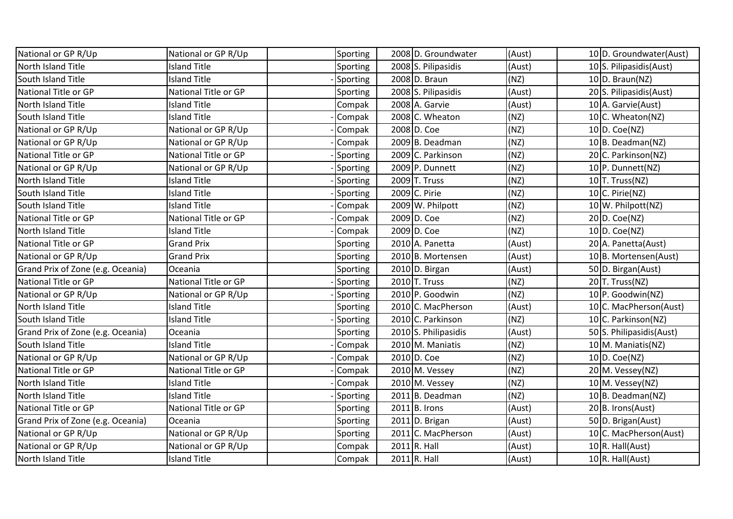| National or GP R/Up               | National or GP R/Up  | Sporting        | 2008 D. Groundwater  | (Aust) | 10 D. Groundwater(Aust)  |
|-----------------------------------|----------------------|-----------------|----------------------|--------|--------------------------|
| North Island Title                | <b>Island Title</b>  | Sporting        | 2008 S. Pilipasidis  | (Aust) | 10 S. Pilipasidis(Aust)  |
| South Island Title                | <b>Island Title</b>  | Sporting        | 2008 D. Braun        | (NZ)   | 10 D. Braun(NZ)          |
| National Title or GP              | National Title or GP | Sporting        | 2008 S. Pilipasidis  | (Aust) | 20 S. Pilipasidis(Aust)  |
| North Island Title                | <b>Island Title</b>  | Compak          | 2008 A. Garvie       | (Aust) | 10 A. Garvie (Aust)      |
| South Island Title                | <b>Island Title</b>  | Compak          | 2008 C. Wheaton      | (NZ)   | 10 C. Wheaton(NZ)        |
| National or GP R/Up               | National or GP R/Up  | Compak          | 2008 D. Coe          | (NZ)   | $10 D$ . Coe(NZ)         |
| National or GP R/Up               | National or GP R/Up  | Compak          | 2009 B. Deadman      | (NZ)   | 10 B. Deadman(NZ)        |
| National Title or GP              | National Title or GP | <b>Sporting</b> | 2009 C. Parkinson    | (NZ)   | 20 C. Parkinson(NZ)      |
| National or GP R/Up               | National or GP R/Up  | Sporting        | 2009 P. Dunnett      | (NZ)   | 10 P. Dunnett(NZ)        |
| North Island Title                | <b>Island Title</b>  | Sporting        | 2009 T. Truss        | (NZ)   | $10$ T. Truss(NZ)        |
| South Island Title                | <b>Island Title</b>  | Sporting        | 2009 C. Pirie        | (NZ)   | 10 $C.$ Pirie(NZ)        |
| South Island Title                | <b>Island Title</b>  | Compak          | 2009 W. Philpott     | (NZ)   | $10$ W. Philpott(NZ)     |
| National Title or GP              | National Title or GP | Compak          | 2009 D. Coe          | (NZ)   | 20 D. Coe(NZ)            |
| North Island Title                | <b>Island Title</b>  | Compak          | 2009 D. Coe          | (NZ)   | $10 D$ . Coe(NZ)         |
| National Title or GP              | <b>Grand Prix</b>    | Sporting        | 2010 A. Panetta      | (Aust) | 20 A. Panetta(Aust)      |
| National or GP R/Up               | <b>Grand Prix</b>    | Sporting        | 2010 B. Mortensen    | (Aust) | 10 B. Mortensen(Aust)    |
| Grand Prix of Zone (e.g. Oceania) | Oceania              | Sporting        | 2010 D. Birgan       | (Aust) | 50 D. Birgan(Aust)       |
| National Title or GP              | National Title or GP | Sporting        | $2010$ T. Truss      | (NZ)   | $20$ T. Truss(NZ)        |
| National or GP R/Up               | National or GP R/Up  | Sporting        | 2010 P. Goodwin      | (NZ)   | 10 P. Goodwin(NZ)        |
| North Island Title                | <b>Island Title</b>  | Sporting        | 2010 C. MacPherson   | (Aust) | 10 C. MacPherson(Aust)   |
| South Island Title                | <b>Island Title</b>  | Sporting        | 2010 C. Parkinson    | (NZ)   | 10 C. Parkinson(NZ)      |
| Grand Prix of Zone (e.g. Oceania) | Oceania              | Sporting        | 2010 S. Philipasidis | (Aust) | 50 S. Philipasidis(Aust) |
| South Island Title                | <b>Island Title</b>  | Compak          | 2010 M. Maniatis     | (NZ)   | 10 M. Maniatis(NZ)       |
| National or GP R/Up               | National or GP R/Up  | Compak          | 2010 D. Coe          | (NZ)   | $10 D$ . Coe(NZ)         |
| National Title or GP              | National Title or GP | Compak          | $2010$ M. Vessey     | (NZ)   | 20 M. Vessey(NZ)         |
| North Island Title                | <b>Island Title</b>  | Compak          | 2010 M. Vessey       | (NZ)   | $10 \mid M.$ Vessey(NZ)  |
| North Island Title                | <b>Island Title</b>  | Sporting        | $2011$ B. Deadman    | (NZ)   | $10 B.$ Deadman(NZ)      |
| National Title or GP              | National Title or GP | Sporting        | $2011$ B. Irons      | (Aust) | 20 B. Irons(Aust)        |
| Grand Prix of Zone (e.g. Oceania) | Oceania              | Sporting        | $2011 D.$ Brigan     | (Aust) | 50 D. Brigan(Aust)       |
| National or GP R/Up               | National or GP R/Up  | Sporting        | 2011 C. MacPherson   | (Aust) | 10 C. MacPherson(Aust)   |
| National or GP R/Up               | National or GP R/Up  | Compak          | $2011 R.$ Hall       | (Aust) | $10 R$ . Hall(Aust)      |
| North Island Title                | <b>Island Title</b>  | Compak          | $2011$ R. Hall       | (Aust) | $10 R.$ Hall(Aust)       |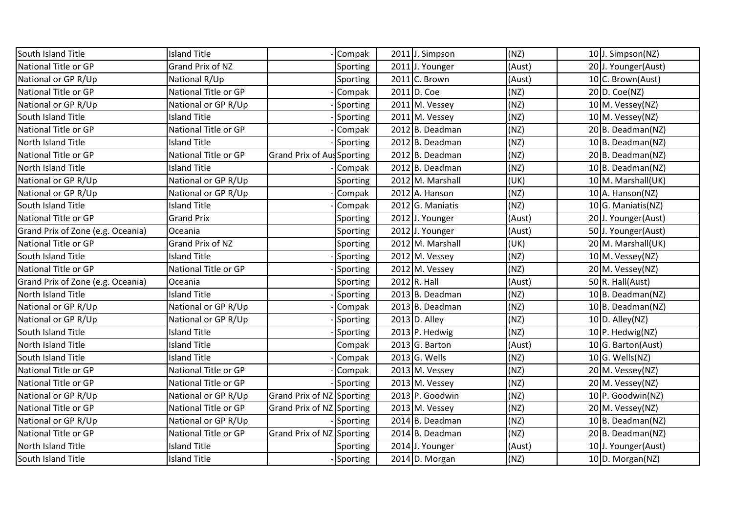| South Island Title                | <b>Island Title</b>  | Compak                    | 2011 J. Simpson    | (NZ)   | 10J. Simpson(NZ)        |
|-----------------------------------|----------------------|---------------------------|--------------------|--------|-------------------------|
| National Title or GP              | Grand Prix of NZ     | Sporting                  | 2011 J. Younger    | (Aust) | 20J. Younger(Aust)      |
| National or GP R/Up               | National R/Up        | Sporting                  | $2011$ C. Brown    | (Aust) | 10 C. Brown(Aust)       |
| National Title or GP              | National Title or GP | Compak                    | $2011$ D. Coe      | (NZ)   | 20 D. Coe(NZ)           |
| National or GP R/Up               | National or GP R/Up  | Sporting                  | 2011 M. Vessey     | (NZ)   | $10 \mid M.$ Vessey(NZ) |
| South Island Title                | <b>Island Title</b>  | Sporting                  | 2011 M. Vessey     | (NZ)   | $10 \, M.$ Vessey(NZ)   |
| National Title or GP              | National Title or GP | Compak                    | 2012 B. Deadman    | (NZ)   | 20 B. Deadman(NZ)       |
| North Island Title                | <b>Island Title</b>  | Sporting                  | $2012$ B. Deadman  | (NZ)   | $10 B.$ Deadman(NZ)     |
| National Title or GP              | National Title or GP | Grand Prix of AusSporting | 2012 B. Deadman    | (NZ)   | 20 B. Deadman(NZ)       |
| North Island Title                | <b>Island Title</b>  | Compak                    | 2012 B. Deadman    | (NZ)   | $10 B.$ Deadman(NZ)     |
| National or GP R/Up               | National or GP R/Up  | Sporting                  | 2012 M. Marshall   | (UK)   | 10 M. Marshall(UK)      |
| National or GP R/Up               | National or GP R/Up  | Compak                    | $2012$ A. Hanson   | (NZ)   | $10$ A. Hanson(NZ)      |
| South Island Title                | <b>Island Title</b>  | Compak                    | $2012$ G. Maniatis | (NZ)   | 10 G. Maniatis(NZ)      |
| National Title or GP              | <b>Grand Prix</b>    | Sporting                  | 2012 J. Younger    | (Aust) | 20 J. Younger(Aust)     |
| Grand Prix of Zone (e.g. Oceania) | Oceania              | Sporting                  | 2012 J. Younger    | (Aust) | 50 J. Younger(Aust)     |
| National Title or GP              | Grand Prix of NZ     | Sporting                  | 2012 M. Marshall   | (UK)   | 20 M. Marshall(UK)      |
| South Island Title                | <b>Island Title</b>  | Sporting                  | 2012 M. Vessey     | (NZ)   | $10$ M. Vessey(NZ)      |
| National Title or GP              | National Title or GP | Sporting                  | 2012 M. Vessey     | (NZ)   | 20 M. Vessey(NZ)        |
| Grand Prix of Zone (e.g. Oceania) | Oceania              | Sporting                  | $2012 R.$ Hall     | (Aust) | 50 R. Hall(Aust)        |
| North Island Title                | <b>Island Title</b>  | Sporting                  | 2013 B. Deadman    | (NZ)   | $10 B.$ Deadman(NZ)     |
| National or GP R/Up               | National or GP R/Up  | Compak                    | 2013 B. Deadman    | (NZ)   | $10 B.$ Deadman(NZ)     |
| National or GP R/Up               | National or GP R/Up  | Sporting                  | $2013$ D. Alley    | (NZ)   | $10 D.$ Alley(NZ)       |
| South Island Title                | <b>Island Title</b>  | Sporting                  | 2013 P. Hedwig     | (NZ)   | 10 P. Hedwig(NZ)        |
| North Island Title                | <b>Island Title</b>  | Compak                    | $2013$ G. Barton   | (Aust) | $10 G.$ Barton(Aust)    |
| South Island Title                | <b>Island Title</b>  | Compak                    | $2013$ G. Wells    | (NZ)   | $10 G.$ Wells(NZ)       |
| National Title or GP              | National Title or GP | Compak                    | 2013 M. Vessey     | (NZ)   | 20 M. Vessey(NZ)        |
| National Title or GP              | National Title or GP | Sporting                  | 2013 M. Vessey     | (NZ)   | 20 M. Vessey(NZ)        |
| National or GP R/Up               | National or GP R/Up  | Grand Prix of NZ Sporting | 2013 P. Goodwin    | (NZ)   | 10 P. Goodwin(NZ)       |
| National Title or GP              | National Title or GP | Grand Prix of NZ Sporting | 2013 M. Vessey     | (NZ)   | 20 M. Vessey(NZ)        |
| National or GP R/Up               | National or GP R/Up  | Sporting                  | 2014 B. Deadman    | (NZ)   | 10 B. Deadman(NZ)       |
| National Title or GP              | National Title or GP | Grand Prix of NZ Sporting | $2014$ B. Deadman  | (NZ)   | 20 B. Deadman(NZ)       |
| North Island Title                | <b>Island Title</b>  | Sporting                  | 2014 J. Younger    | (Aust) | 10J. Younger(Aust)      |
| South Island Title                | <b>Island Title</b>  | Sporting                  | 2014 D. Morgan     | (NZ)   | 10 D. Morgan(NZ)        |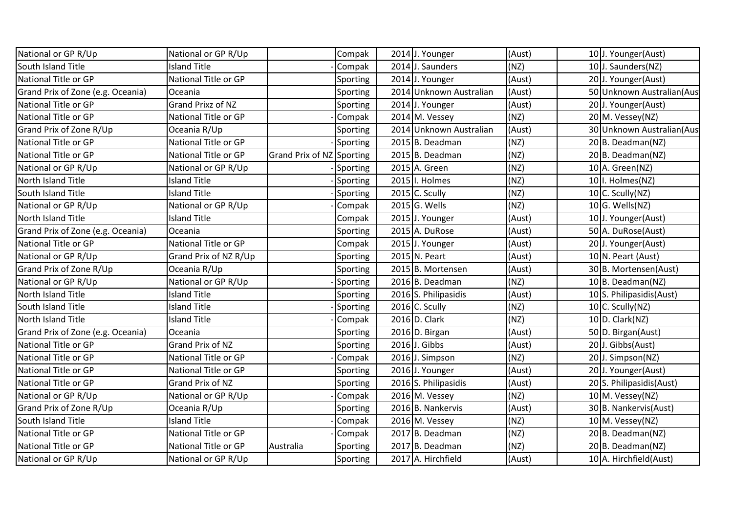| National or GP R/Up               | National or GP R/Up   |                           | Compak   | 2014 J. Younger         | (Aust) | 10J. Younger(Aust)         |
|-----------------------------------|-----------------------|---------------------------|----------|-------------------------|--------|----------------------------|
| South Island Title                | <b>Island Title</b>   |                           | Compak   | 2014 J. Saunders        | (NZ)   | 10J. Saunders(NZ)          |
| National Title or GP              | National Title or GP  |                           | Sporting | 2014 J. Younger         | (Aust) | 20 J. Younger(Aust)        |
| Grand Prix of Zone (e.g. Oceania) | Oceania               |                           | Sporting | 2014 Unknown Australian | (Aust) | 50 Unknown Australian (Aus |
| National Title or GP              | Grand Prixz of NZ     |                           | Sporting | 2014 J. Younger         | (Aust) | 20 J. Younger(Aust)        |
| National Title or GP              | National Title or GP  |                           | Compak   | 2014 M. Vessey          | (NZ)   | 20 M. Vessey(NZ)           |
| Grand Prix of Zone R/Up           | Oceania R/Up          |                           | Sporting | 2014 Unknown Australian | (Aust) | 30 Unknown Australian (Aus |
| National Title or GP              | National Title or GP  |                           | Sporting | 2015 B. Deadman         | (NZ)   | 20 B. Deadman(NZ)          |
| National Title or GP              | National Title or GP  | Grand Prix of NZ Sporting |          | 2015 B. Deadman         | (NZ)   | 20 B. Deadman(NZ)          |
| National or GP R/Up               | National or GP R/Up   |                           | Sporting | 2015 A. Green           | (NZ)   | 10 A. Green(NZ)            |
| North Island Title                | <b>Island Title</b>   |                           | Sporting | 2015   I. Holmes        | (NZ)   | 10 I. Holmes(NZ)           |
| South Island Title                | <b>Island Title</b>   |                           | Sporting | $2015$ C. Scully        | (NZ)   | 10 $C.$ Scully(NZ)         |
| National or GP R/Up               | National or GP R/Up   |                           | Compak   | 2015 G. Wells           | (NZ)   | $10 G.$ Wells(NZ)          |
| North Island Title                | <b>Island Title</b>   |                           | Compak   | 2015 J. Younger         | (Aust) | 10 J. Younger(Aust)        |
| Grand Prix of Zone (e.g. Oceania) | Oceania               |                           | Sporting | 2015 A. DuRose          | (Aust) | 50 A. DuRose(Aust)         |
| National Title or GP              | National Title or GP  |                           | Compak   | 2015 J. Younger         | (Aust) | 20 J. Younger(Aust)        |
| National or GP R/Up               | Grand Prix of NZ R/Up |                           | Sporting | 2015 N. Peart           | (Aust) | $10 \vert N.$ Peart (Aust) |
| Grand Prix of Zone R/Up           | Oceania R/Up          |                           | Sporting | 2015 B. Mortensen       | (Aust) | 30 B. Mortensen(Aust)      |
| National or GP R/Up               | National or GP R/Up   |                           | Sporting | 2016 B. Deadman         | (NZ)   | 10 B. Deadman(NZ)          |
| North Island Title                | <b>Island Title</b>   |                           | Sporting | 2016 S. Philipasidis    | (Aust) | 10 S. Philipasidis(Aust)   |
| South Island Title                | <b>Island Title</b>   |                           | Sporting | $2016$ C. Scully        | (NZ)   | 10 $C.$ Scully(NZ)         |
| North Island Title                | <b>Island Title</b>   |                           | Compak   | 2016 D. Clark           | (NZ)   | $10 D$ . Clark(NZ)         |
| Grand Prix of Zone (e.g. Oceania) | Oceania               |                           | Sporting | 2016 D. Birgan          | (Aust) | 50 D. Birgan(Aust)         |
| National Title or GP              | Grand Prix of NZ      |                           | Sporting | 2016 J. Gibbs           | (Aust) | 20 J. Gibbs(Aust)          |
| National Title or GP              | National Title or GP  |                           | Compak   | 2016 J. Simpson         | (NZ)   | 20 J. Simpson(NZ)          |
| National Title or GP              | National Title or GP  |                           | Sporting | 2016 J. Younger         | (Aust) | 20 J. Younger(Aust)        |
| National Title or GP              | Grand Prix of NZ      |                           | Sporting | 2016 S. Philipasidis    | (Aust) | 20 S. Philipasidis(Aust)   |
| National or GP R/Up               | National or GP R/Up   |                           | Compak   | 2016 M. Vessey          | (NZ)   | 10 M. Vessey(NZ)           |
| Grand Prix of Zone R/Up           | Oceania R/Up          |                           | Sporting | 2016 B. Nankervis       | (Aust) | 30 B. Nankervis(Aust)      |
| South Island Title                | <b>Island Title</b>   |                           | Compak   | 2016 M. Vessey          | (NZ)   | $10$ M. Vessey(NZ)         |
| National Title or GP              | National Title or GP  |                           | Compak   | $2017$ B. Deadman       | (NZ)   | 20 B. Deadman(NZ)          |
| National Title or GP              | National Title or GP  | Australia                 | Sporting | 2017 B. Deadman         | (NZ)   | 20 B. Deadman(NZ)          |
| National or GP R/Up               | National or GP R/Up   |                           | Sporting | 2017 A. Hirchfield      | (Aust) | 10 A. Hirchfield(Aust)     |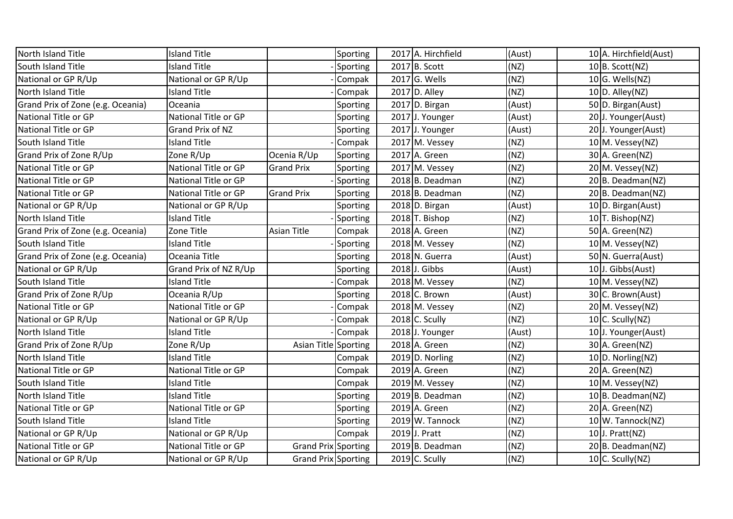| North Island Title                | <b>Island Title</b>   | Sporting                      | 2017 A. Hirchfield | (Aust) | 10 A. Hirchfield (Aust) |
|-----------------------------------|-----------------------|-------------------------------|--------------------|--------|-------------------------|
| South Island Title                | <b>Island Title</b>   | Sporting                      | $2017$ B. Scott    | (NZ)   | 10 B. Scott(NZ)         |
| National or GP R/Up               | National or GP R/Up   | Compak                        | $2017$ G. Wells    | (NZ)   | $10 G.$ Wells(NZ)       |
| North Island Title                | <b>Island Title</b>   | Compak                        | $2017$ D. Alley    | (NZ)   | $10 D.$ Alley(NZ)       |
| Grand Prix of Zone (e.g. Oceania) | Oceania               | Sporting                      | $2017$ D. Birgan   | (Aust) | 50 D. Birgan(Aust)      |
| National Title or GP              | National Title or GP  | Sporting                      | 2017 J. Younger    | (Aust) | 20 J. Younger(Aust)     |
| National Title or GP              | Grand Prix of NZ      | Sporting                      | 2017 J. Younger    | (Aust) | 20 J. Younger(Aust)     |
| South Island Title                | <b>Island Title</b>   | Compak                        | 2017 M. Vessey     | (NZ)   | $10$ M. Vessey(NZ)      |
| Grand Prix of Zone R/Up           | Zone R/Up             | Ocenia R/Up<br>Sporting       | $2017$ A. Green    | (NZ)   | 30 A. Green(NZ)         |
| National Title or GP              | National Title or GP  | <b>Grand Prix</b><br>Sporting | 2017 M. Vessey     | (NZ)   | 20 M. Vessey(NZ)        |
| National Title or GP              | National Title or GP  | Sporting                      | 2018 B. Deadman    | (NZ)   | 20 B. Deadman(NZ)       |
| National Title or GP              | National Title or GP  | <b>Grand Prix</b><br>Sporting | 2018 B. Deadman    | (NZ)   | 20 B. Deadman(NZ)       |
| National or GP R/Up               | National or GP R/Up   | Sporting                      | 2018 D. Birgan     | (Aust) | 10 D. Birgan(Aust)      |
| North Island Title                | <b>Island Title</b>   | Sporting                      | $2018$ T. Bishop   | (NZ)   | $10$ T. Bishop(NZ)      |
| Grand Prix of Zone (e.g. Oceania) | Zone Title            | <b>Asian Title</b><br>Compak  | 2018 A. Green      | (NZ)   | 50 A. Green(NZ)         |
| South Island Title                | <b>Island Title</b>   | Sporting                      | 2018 M. Vessey     | (NZ)   | 10 M. Vessey(NZ)        |
| Grand Prix of Zone (e.g. Oceania) | Oceania Title         | Sporting                      | 2018 N. Guerra     | (Aust) | 50 N. Guerra(Aust)      |
| National or GP R/Up               | Grand Prix of NZ R/Up | Sporting                      | $2018$ J. Gibbs    | (Aust) | 10 J. Gibbs(Aust)       |
| South Island Title                | <b>Island Title</b>   | Compak                        | 2018 M. Vessey     | (NZ)   | $10$ M. Vessey(NZ)      |
| Grand Prix of Zone R/Up           | Oceania R/Up          | Sporting                      | 2018 C. Brown      | (Aust) | 30 C. Brown(Aust)       |
| National Title or GP              | National Title or GP  | Compak                        | 2018 M. Vessey     | (NZ)   | 20 M. Vessey (NZ)       |
| National or GP R/Up               | National or GP R/Up   | Compak                        | 2018 C. Scully     | (NZ)   | 10 $C.$ Scully(NZ)      |
| North Island Title                | <b>Island Title</b>   | Compak                        | 2018 J. Younger    | (Aust) | 10J. Younger(Aust)      |
| Grand Prix of Zone R/Up           | Zone R/Up             | Asian Title Sporting          | 2018 A. Green      | (NZ)   | 30 A. Green(NZ)         |
| North Island Title                | <b>Island Title</b>   | Compak                        | $2019 D.$ Norling  | (NZ)   | $10 D.$ Norling(NZ)     |
| National Title or GP              | National Title or GP  | Compak                        | $2019$ A. Green    | (NZ)   | 20 A. Green(NZ)         |
| South Island Title                | <b>Island Title</b>   | Compak                        | $2019$ M. Vessey   | (NZ)   | $10$ M. Vessey(NZ)      |
| North Island Title                | Island Title          | Sporting                      | $2019 B.$ Deadman  | (NZ)   | $10 B.$ Deadman(NZ)     |
| National Title or GP              | National Title or GP  | Sporting                      | $2019$ A. Green    | (NZ)   | 20 A. Green(NZ)         |
| South Island Title                | <b>Island Title</b>   | Sporting                      | 2019 W. Tannock    | (NZ)   | 10 W. Tannock(NZ)       |
| National or GP R/Up               | National or GP R/Up   | Compak                        | 2019 J. Pratt      | (NZ)   | 10 $J.$ Pratt(NZ)       |
| <b>National Title or GP</b>       | National Title or GP  | Grand Prix Sporting           | 2019 B. Deadman    | (NZ)   | 20 B. Deadman(NZ)       |
| National or GP R/Up               | National or GP R/Up   | Grand Prix Sporting           | $2019$ C. Scully   | (NZ)   | 10 $C.$ Scully(NZ)      |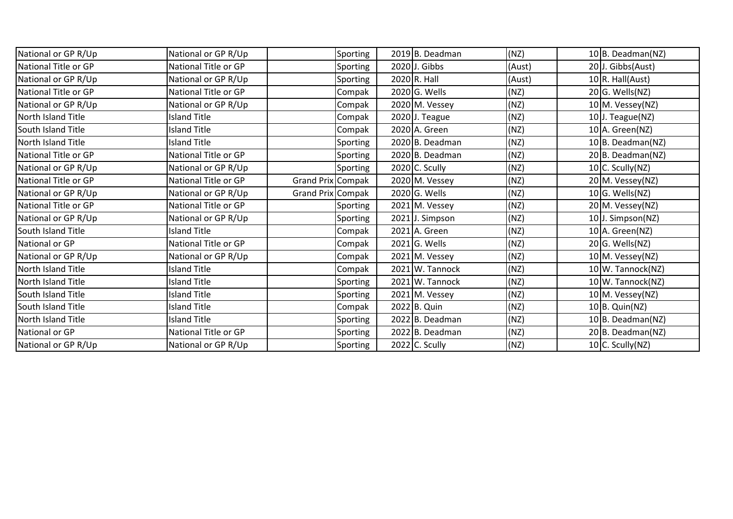| National or GP R/Up         | National or GP R/Up  |                   | Sporting        | 2019 B. Deadman   | (NZ)   | $10 B.$ Deadman(NZ) |
|-----------------------------|----------------------|-------------------|-----------------|-------------------|--------|---------------------|
| <b>National Title or GP</b> | National Title or GP |                   | Sporting        | 2020 J. Gibbs     | (Aust) | 20 J. Gibbs(Aust)   |
| National or GP R/Up         | National or GP R/Up  |                   | Sporting        | $2020$ R. Hall    | (Aust) | $10 R$ . Hall(Aust) |
| <b>National Title or GP</b> | National Title or GP |                   | Compak          | 2020 G. Wells     | (NZ)   | $20 G.$ Wells(NZ)   |
| National or GP R/Up         | National or GP R/Up  |                   | Compak          | 2020 M. Vessey    | (NZ)   | 10 M. Vessey(NZ)    |
| North Island Title          | <b>Island Title</b>  |                   | Compak          | $2020$ J. Teague  | (NZ)   | $10$ J. Teague(NZ)  |
| South Island Title          | <b>Island Title</b>  |                   | Compak          | 2020 A. Green     | (NZ)   | $10$ A. Green(NZ)   |
| <b>North Island Title</b>   | <b>Island Title</b>  |                   | Sporting        | 2020 B. Deadman   | (NZ)   | 10 B. Deadman(NZ)   |
| National Title or GP        | National Title or GP |                   | Sporting        | 2020 B. Deadman   | (NZ)   | $20 B.$ Deadman(NZ) |
| National or GP R/Up         | National or GP R/Up  |                   | Sporting        | $2020$ C. Scully  | (NZ)   | 10 $C.$ Scully(NZ)  |
| <b>National Title or GP</b> | National Title or GP | Grand Prix Compak |                 | 2020 M. Vessey    | (NZ)   | 20 M. Vessey(NZ)    |
| National or GP R/Up         | National or GP R/Up  | Grand Prix Compak |                 | 2020 G. Wells     | (NZ)   | $10 G.$ Wells(NZ)   |
| <b>National Title or GP</b> | National Title or GP |                   | <b>Sporting</b> | 2021 M. Vessey    | (NZ)   | 20 M. Vessey(NZ)    |
| National or GP R/Up         | National or GP R/Up  |                   | Sporting        | 2021 J. Simpson   | (NZ)   | 10J. Simpson(NZ)    |
| South Island Title          | <b>Island Title</b>  |                   | Compak          | 2021 A. Green     | (NZ)   | $10$ A. Green(NZ)   |
| National or GP              | National Title or GP |                   | Compak          | $2021$ G. Wells   | (NZ)   | $20 G.$ Wells(NZ)   |
| National or GP R/Up         | National or GP R/Up  |                   | Compak          | 2021 M. Vessey    | (NZ)   | 10 M. Vessey(NZ)    |
| North Island Title          | <b>Island Title</b>  |                   | Compak          | 2021 W. Tannock   | (NZ)   | 10 W. Tannock(NZ)   |
| North Island Title          | <b>Island Title</b>  |                   | Sporting        | 2021 W. Tannock   | (NZ)   | 10 W. Tannock(NZ)   |
| South Island Title          | <b>Island Title</b>  |                   | Sporting        | 2021 M. Vessey    | (NZ)   | 10 M. Vessey(NZ)    |
| South Island Title          | <b>Island Title</b>  |                   | Compak          | 2022 B. Quin      | (NZ)   | $10 B.$ Quin(NZ)    |
| North Island Title          | <b>Island Title</b>  |                   | Sporting        | $2022$ B. Deadman | (NZ)   | $10 B.$ Deadman(NZ) |
| National or GP              | National Title or GP |                   | Sporting        | 2022 B. Deadman   | (NZ)   | 20 B. Deadman(NZ)   |
| National or GP R/Up         | National or GP R/Up  |                   | Sporting        | $2022$ C. Scully  | (NZ)   | $10$ C. Scully(NZ)  |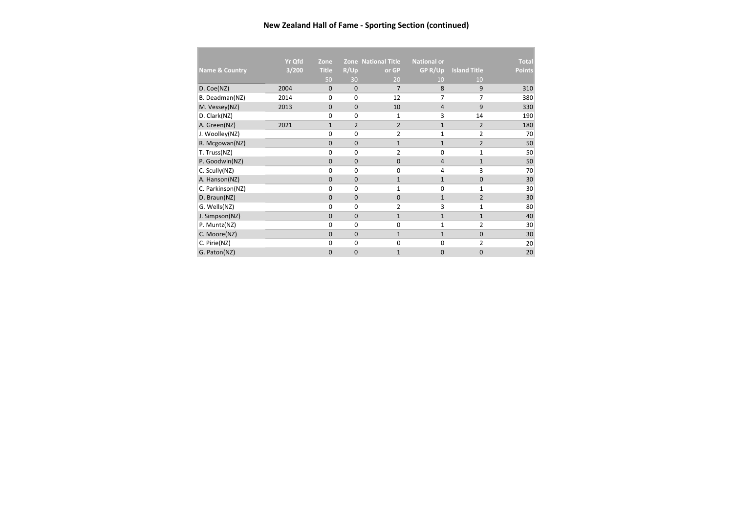## **New Zealand Hall of Fame - Sporting Section (continued)**

|                           | <b>Yr Qfd</b> | Zone         |                | <b>Zone National Title</b> | <b>National or</b> |                     | <b>Total</b>  |
|---------------------------|---------------|--------------|----------------|----------------------------|--------------------|---------------------|---------------|
| <b>Name &amp; Country</b> | 3/200         | <b>Title</b> | R/Up           | or GP                      | GP R/Up            | <b>Island Title</b> | <b>Points</b> |
|                           |               | 50           | 30             | 20                         | 10                 | 10                  |               |
| D. Coe(NZ)                | 2004          | $\mathbf 0$  | $\mathbf 0$    | $\overline{7}$             | 8                  | 9                   | 310           |
| B. Deadman(NZ)            | 2014          | 0            | $\Omega$       | 12                         | 7                  | 7                   | 380           |
| M. Vessey(NZ)             | 2013          | 0            | 0              | 10                         | $\overline{4}$     | 9                   | 330           |
| D. Clark(NZ)              |               | 0            | 0              | $\mathbf{1}$               | 3                  | 14                  | 190           |
| A. Green(NZ)              | 2021          | $\mathbf{1}$ | $\overline{2}$ | $\overline{2}$             | $\mathbf{1}$       | 2                   | 180           |
| J. Woolley(NZ)            |               | 0            | 0              | $\overline{2}$             | 1                  | $\overline{2}$      | 70            |
| R. Mcgowan(NZ)            |               | 0            | 0              | $\mathbf{1}$               | $\mathbf{1}$       | $\overline{2}$      | 50            |
| T. Truss(NZ)              |               | 0            | 0              | $\overline{2}$             | 0                  | $\mathbf{1}$        | 50            |
| P. Goodwin(NZ)            |               | $\mathbf 0$  | 0              | $\mathbf 0$                | $\overline{4}$     | $\mathbf{1}$        | 50            |
| C. Scully(NZ)             |               | $\Omega$     | 0              | $\mathbf 0$                | $\overline{4}$     | 3                   | 70            |
| A. Hanson(NZ)             |               | $\mathbf 0$  | 0              | $\mathbf{1}$               | $\mathbf{1}$       | 0                   | 30            |
| C. Parkinson(NZ)          |               | $\Omega$     | 0              | $\mathbf{1}$               | 0                  | 1                   | 30            |
| D. Braun(NZ)              |               | 0            | 0              | $\mathbf 0$                | $\mathbf{1}$       | $\overline{2}$      | 30            |
| G. Wells(NZ)              |               | $\Omega$     | 0              | $\overline{2}$             | 3                  | 1                   | 80            |
| J. Simpson(NZ)            |               | $\mathbf 0$  | 0              | $\mathbf{1}$               | $\mathbf{1}$       | $\mathbf{1}$        | 40            |
| P. Muntz(NZ)              |               | $\Omega$     | 0              | 0                          | 1                  | 2                   | 30            |
| C. Moore(NZ)              |               | $\Omega$     | 0              | $\mathbf{1}$               | $\mathbf{1}$       | $\Omega$            | 30            |
| C. Pirie(NZ)              |               | 0            | 0              | 0                          | $\mathbf 0$        | $\overline{2}$      | 20            |
| G. Paton(NZ)              |               | $\Omega$     | 0              | $\mathbf{1}$               | $\mathbf 0$        | 0                   | 20            |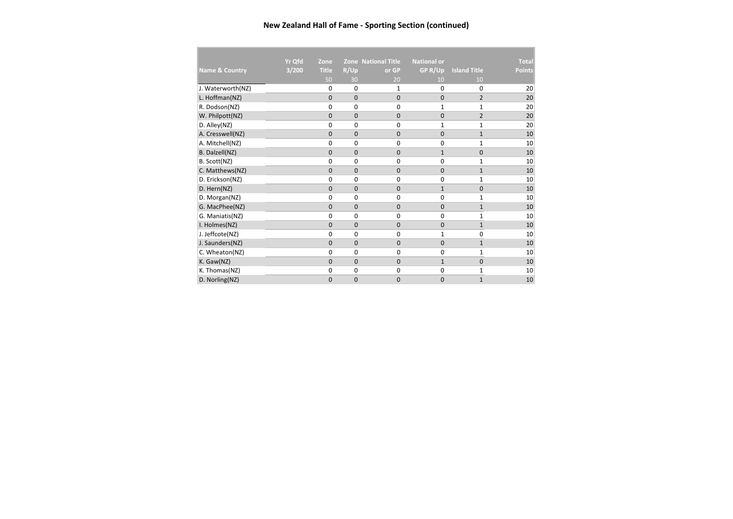## **New Zealand Hall of Fame - Sporting Section (continued)**

|                           | <b>Yr Qfd</b> | Zone         |                | <b>Zone National Title</b> | <b>National or</b> |                     | <b>Total</b>  |
|---------------------------|---------------|--------------|----------------|----------------------------|--------------------|---------------------|---------------|
| <b>Name &amp; Country</b> | 3/200         | <b>Title</b> | R/Up           | or GP                      | GP R/Up            | <b>Island Title</b> | <b>Points</b> |
|                           |               | 50           | 30             | 20                         | 10                 | 10                  |               |
| J. Waterworth(NZ)         |               | $\Omega$     | $\Omega$       | 1                          | $\Omega$           | $\Omega$            | 20            |
| L. Hoffman(NZ)            |               | $\mathbf 0$  | $\mathbf 0$    | $\mathbf{0}$               | $\mathbf 0$        | $\overline{2}$      | 20            |
| R. Dodson(NZ)             |               | 0            | $\Omega$       | 0                          | 1                  | $\mathbf{1}$        | 20            |
| W. Philpott(NZ)           |               | $\Omega$     | $\Omega$       | $\Omega$                   | $\mathbf 0$        | $\overline{2}$      | 20            |
| D. Alley(NZ)              |               | 0            | 0              | $\mathbf 0$                | 1                  | $\mathbf{1}$        | 20            |
| A. Cresswell(NZ)          |               | $\mathbf 0$  | $\mathbf 0$    | $\mathbf{0}$               | $\mathbf 0$        | $\mathbf{1}$        | 10            |
| A. Mitchell(NZ)           |               | $\Omega$     | 0              | $\mathbf 0$                | $\mathbf 0$        | $\mathbf{1}$        | 10            |
| B. Dalzell(NZ)            |               | $\mathbf 0$  | $\overline{0}$ | 0                          | $\mathbf{1}$       | 0                   | 10            |
| B. Scott(NZ)              |               | $\Omega$     | 0              | $\mathbf 0$                | $\mathbf 0$        | 1                   | 10            |
| C. Matthews(NZ)           |               | $\Omega$     | $\Omega$       | $\Omega$                   | $\mathbf 0$        | $\mathbf{1}$        | 10            |
| D. Erickson(NZ)           |               | $\Omega$     | 0              | 0                          | $\mathbf 0$        | $\mathbf{1}$        | 10            |
| D. Hern(NZ)               |               | $\Omega$     | $\mathbf{0}$   | $\Omega$                   | $\mathbf{1}$       | $\Omega$            | 10            |
| D. Morgan(NZ)             |               | $\Omega$     | $\Omega$       | 0                          | $\mathbf 0$        | 1                   | 10            |
| G. MacPhee(NZ)            |               | $\mathbf 0$  | 0              | $\mathbf 0$                | $\mathbf 0$        | $\mathbf{1}$        | 10            |
| G. Maniatis(NZ)           |               | $\Omega$     | $\Omega$       | $\mathbf 0$                | $\mathbf 0$        | $\mathbf{1}$        | 10            |
| I. Holmes(NZ)             |               | $\Omega$     | $\overline{0}$ | $\mathbf 0$                | $\mathbf 0$        | $\mathbf{1}$        | 10            |
| J. Jeffcote(NZ)           |               | $\Omega$     | 0              | 0                          | 1                  | 0                   | 10            |
| J. Saunders(NZ)           |               | $\mathbf 0$  | $\overline{0}$ | $\overline{0}$             | $\mathbf 0$        | $\mathbf{1}$        | 10            |
| C. Wheaton(NZ)            |               | $\Omega$     | 0              | 0                          | $\Omega$           | 1                   | 10            |
| K. Gaw(NZ)                |               | $\mathbf{0}$ | 0              | 0                          | $\mathbf{1}$       | $\mathbf{0}$        | 10            |
| K. Thomas(NZ)             |               | 0            | 0              | 0                          | $\mathbf 0$        | 1                   | 10            |
| D. Norling(NZ)            |               | $\Omega$     | $\Omega$       | 0                          | $\mathbf{0}$       | $\mathbf{1}$        | 10            |